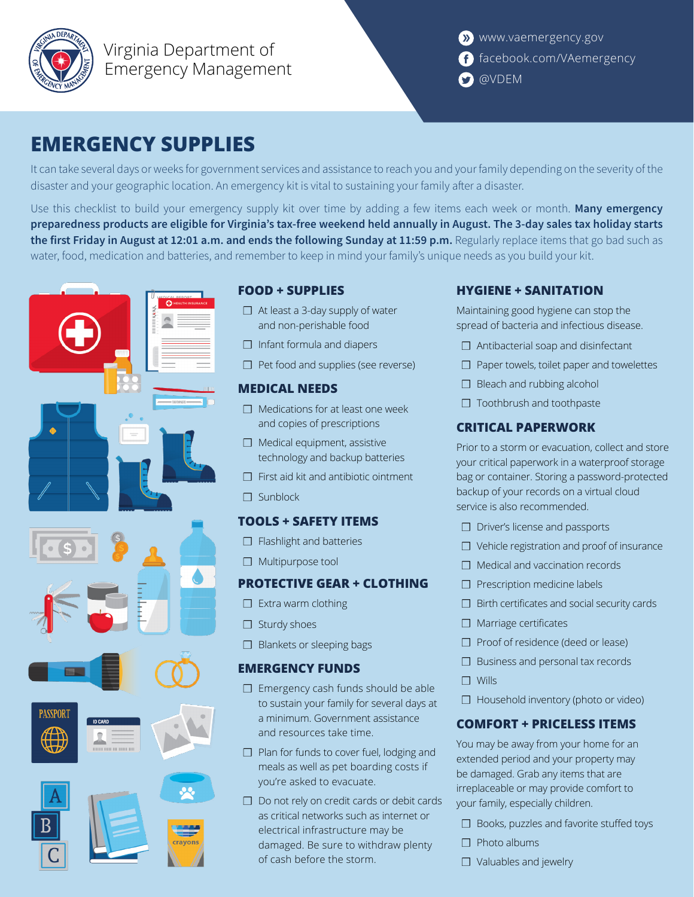

Virginia Department of Emergency Management

# **EMERGENCY SUPPLIES**

It can take several days or weeks for government services and assistance to reach you and your family depending on the severity of the disaster and your geographic location. An emergency kit is vital to sustaining your family after a disaster.

Use this checklist to build your emergency supply kit over time by adding a few items each week or month. **Many emergency preparedness products are eligible for Virginia's tax-free weekend held annually in August. The 3-day sales tax holiday starts the first Friday in August at 12:01 a.m. and ends the following Sunday at 11:59 p.m.** Regularly replace items that go bad such as water, food, medication and batteries, and remember to keep in mind your family's unique needs as you build your kit.



## **FOOD + SUPPLIES**

- ❒ At least a 3-day supply of water and non-perishable food
- ❒ Infant formula and diapers
- ❒ Pet food and supplies (see reverse)

#### **MEDICAL NEEDS**

- ❒ Medications for at least one week and copies of prescriptions
- ❒ Medical equipment, assistive technology and backup batteries
- ❒ First aid kit and antibiotic ointment
- ❒ Sunblock

### **TOOLS + SAFETY ITEMS**

- ❒ Flashlight and batteries
- ❒ Multipurpose tool

### **PROTECTIVE GEAR + CLOTHING**

- ❒ Extra warm clothing
- ❒ Sturdy shoes
- ❒ Blankets or sleeping bags

### **EMERGENCY FUNDS**

- ❒ Emergency cash funds should be able to sustain your family for several days at a minimum. Government assistance and resources take time.
- ❒ Plan for funds to cover fuel, lodging and meals as well as pet boarding costs if you're asked to evacuate.
- ❒ Do not rely on credit cards or debit cards as critical networks such as internet or electrical infrastructure may be damaged. Be sure to withdraw plenty of cash before the storm.

### **HYGIENE + SANITATION**

Maintaining good hygiene can stop the spread of bacteria and infectious disease.

- ❒ Antibacterial soap and disinfectant
- ❒ Paper towels, toilet paper and towelettes
- ❒ Bleach and rubbing alcohol
- ❒ Toothbrush and toothpaste

### **CRITICAL PAPERWORK**

Prior to a storm or evacuation, collect and store your critical paperwork in a waterproof storage bag or container. Storing a password-protected backup of your records on a virtual cloud service is also recommended.

- ❒ Driver's license and passports
- ❒ Vehicle registration and proof of insurance
- ❒ Medical and vaccination records
- ❒ Prescription medicine labels
- ❒ Birth certificates and social security cards
- ❒ Marriage certificates
- ❒ Proof of residence (deed or lease)
- ❒ Business and personal tax records
- ❒ Wills
- ❒ Household inventory (photo or video)

### **COMFORT + PRICELESS ITEMS**

You may be away from your home for an extended period and your property may be damaged. Grab any items that are irreplaceable or may provide comfort to your family, especially children.

- ❒ Books, puzzles and favorite stuffed toys
- ❒ Photo albums
- ❒ Valuables and jewelry